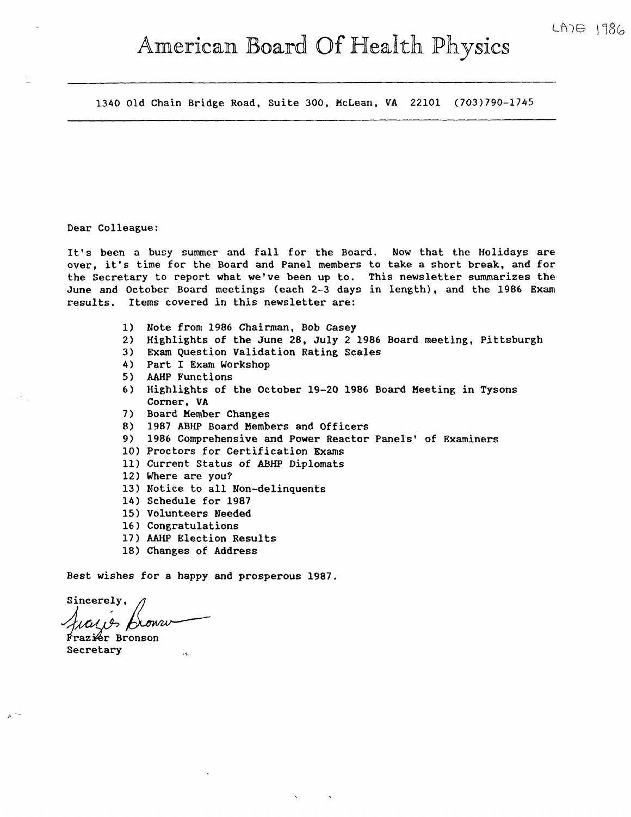# American Board Of Health Physics

1340 Old Chain Bridge Road, Suite 300, McLean, VA 22101 (703)790-1745

# Dear Colleague:

It's been a busy summer and fall for the Board. Now that the Holidays are over, it's time for the Board and Panel members to take a short break, and for the Secretary to report what we've been up to. This newsletter summarizes the June and October Board meetings (each 2-3 days in length), and the 1986 Exam results. Items covered in this newsletter are:

- 1) Note from 1986 Chairman, Bob Casey
- 2) Highlights of the June 28, July 2 1986 Board meeting, Pittsburgh
- 3) Exam Question Validation Rating Scales
- 4) Part I Exam Workshop
- 5) AAHP Functions
- 6) Highlights of the October 19-20 1986 Board Meeting in Tysons Corner, VA
- 7) Board Member Changes
- 8) 1987 ABHP Board Members and Officers
- 9) 1986 Comprehensive and Power Reactor Panels' of Examiners
- 10) Proctors for Certification Exams
- 11) Current Status of ABHP Diplomats
- 12) Where are you?
- 13) Notice to all Non-delinquents
- 14) Schedule for 1987
- 15) Volunteers Needed
- 16) Congratulations
- 17) AAHP Election Results
- 18) Changes of Address

Best wishes for a happy and prosperous 1987.

Sincerely, cazos fromu

**Frazier** Bronson Secretary

 $\lambda^{-1}$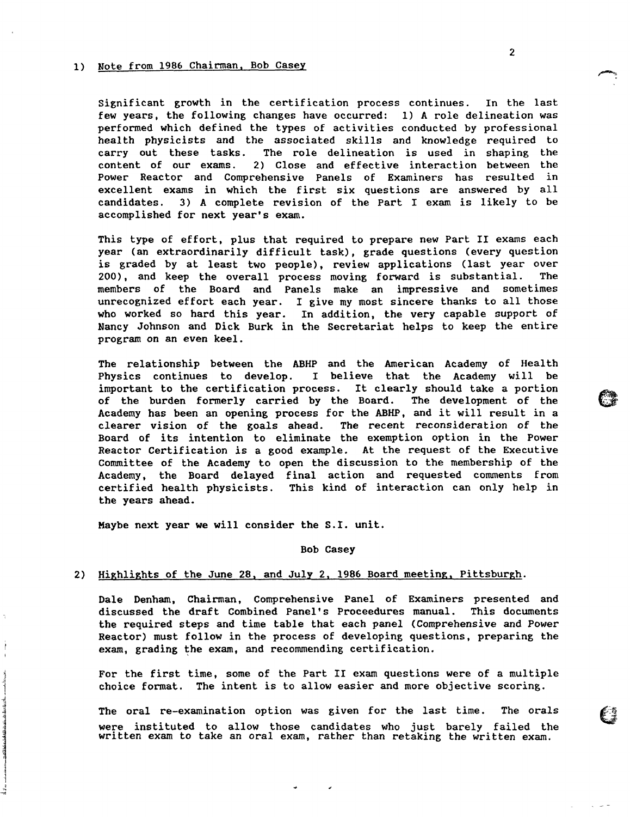#### 1) Note from 1986 Chairman, Bob Casey

Significant growth in the certification process continues. In the last few years, the following changes have occurred: 1) A role delineation was performed which defined the types of activities conducted by professional health physicists and the associated skills and knowledge required to carry out these tasks. The role delineation is used in shaping the content of our exams. 2) Close and effective interaction between the 2) Close and effective interaction between the Power Reactor and Comprehensive Panels of Examiners has resulted in excellent exams in which the first six questions are answered by all candidates. 3) A complete revision of the Part I exam is likely to be accomplished for next year's exam.

This type of effort, plus that required to prepare new Part II exams each year (an extraordinarily difficult task), grade questions (every question is graded by at least two people), review applications (last year over 200) • and keep the overall process moving forward is substantial. The members of the Board and Panels make an impressive and sometimes unrecognized effort each year. I give my most sincere thanks to all those who worked so hard this year. In addition, the very capable support of Nancy Johnson and Dick Burk in the Secretariat helps to keep the entire program on an even keel.

The relationship between the ABHP and the American Academy of Health Physics continues to develop. I believe that the Academy will be important to the certification process. It clearly should take a portion of the burden formerly carried by the Board. The development of the Academy has been an opening process for the ABHP, and it will result in a clearer vision of the goals ahead. The recent reconsideration of the Board of its intention to eliminate the exemption option in the Power Reactor Certification is a good example. At the request of the Executive Committee of the Academy to open the discussion to the membership of the Academy, the Board delayed final action and requested comments from certified health physicists. This kind of interaction can only help in the years ahead.

Maybe next year we will consider the S.I. unit.

راهمیده انگه و استوسعت جنگ<br>1  $\overline{J}$ 

#### Bob Casey

#### 2) Highlights of the June 28, and July 2, 1986 Board meeting, Pittsburgh.

Dale Denham, Chairman, Comprehensive Panel of Examiners presented and discussed the draft Combined Panel• s Proceedures manual. This documents the required steps and time table that each panel (Comprehensive and Power Reactor) must follow in the process of developing questions, preparing the exam, grading the exam, and recommending certification.

For the first time, some of the Part II exam questions were of a multiple choice format. The intent is to allow easier and more objective scoring.

The oral re-examination option was given for the last time. The orals were instituted to allow those candidates who just barely failed the written exam to take an oral exam, rather than retaking the written exam.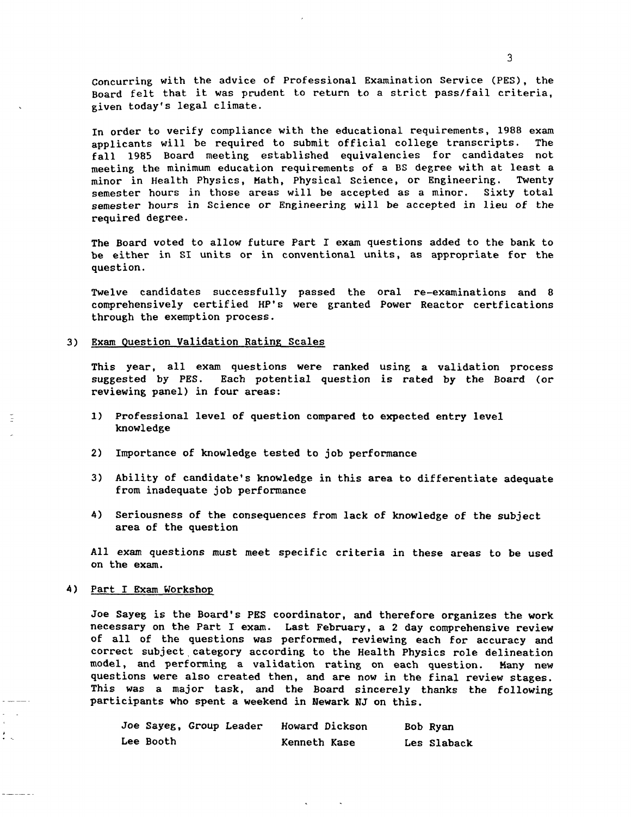concurring with the advice of Professional Examination Service (PES), the Board felt that it was prudent to return to a strict pass/fail criteria, given today's legal climate.

In order to verify compliance with the educational requirements, 1988 exam<br>annlicants will be required to submit official college transcripts. The applicants will be required to submit official college transcripts. fall 1985 Board meeting established equivalencies for candidates not meeting the minimum education requirements of a BS degree with at least a minor in Health Physics, Math, Physical Science, or Engineering. semester hours in those areas will be accepted as a minor. Sixty total semester hours in Science or Engineering will be accepted in lieu of the required degree.

The Board voted to allow future Part I exam questions added to the bank to be either in SI units or in conventional units, as appropriate for the question.

Twelve candidates successfully passed the oral re-examinations and 8 comprehensively certified HP's were granted Power Reactor certfications through the exemption process.

#### 3) Exam Question Validation Rating Scales

This year, all exam questions were ranked using a validation process suggested by PES. Each potential question is rated by the Board (or reviewing panel) in four areas:

- 1) Professional level of question compared to expected entry level knowledge
- 2) Importance of knowledge tested to job performance
- 3) Ability of candidate's knowledge in this area to differentiate adequate from inadequate job performance
- 4) Seriousness of the consequences from lack of knowledge of the subject area of the question

All exam questions must meet specific criteria in these areas to be used on the exam.

# 4) Part I Exam Workshop

E

 $\frac{1}{2}$ 

Joe Sayeg is the Board's PES coordinator, and therefore organizes the work necessary on the Part I exam. Last February, a 2 day comprehensive review of all of the questions was performed, reviewing each for accuracy and correct subject category according to the Health Physics role delineation model, and performing a validation rating on each question. Many new questions were also created then, and are now in the final review stages. This was a major task, and the Board sincerely thanks the following participants who spent a weekend in Newark *NJ* on this.

|           | Joe Sayeg, Group Leader |              | Howard Dickson | Bob Ryan    |
|-----------|-------------------------|--------------|----------------|-------------|
| Lee Booth |                         | Kenneth Kase |                | Les Slaback |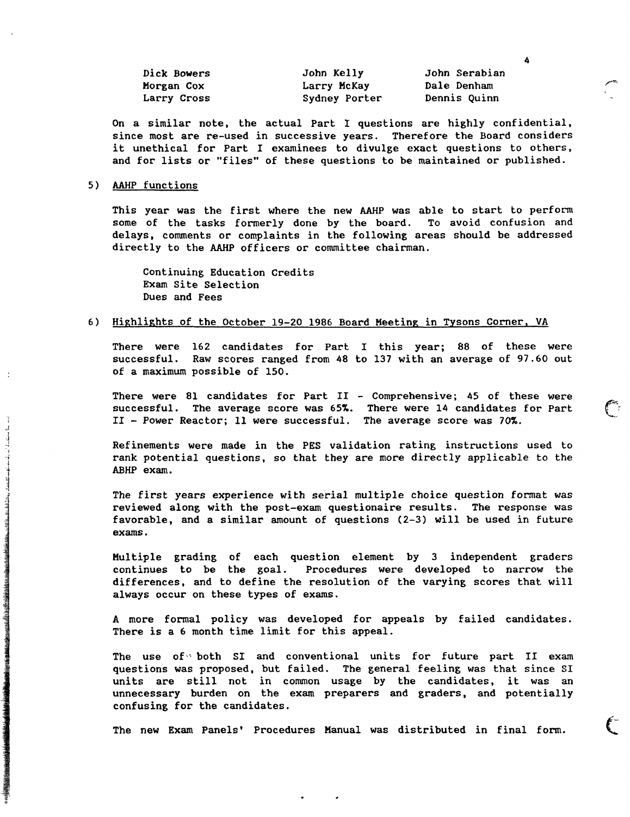| Dick Bowers | John Kelly    | John Serabian |
|-------------|---------------|---------------|
| Morgan Cox  | Larry McKay   | Dale Denham   |
| Larry Cross | Sydney Porter | Dennis Quinn  |

4

On a similar note, the actual Part I questions are highly confidential, since most are re-used in successive years. Therefore the Board considers it unethical for Part I examinees to divulge exact questions to others, and for lists or "files" of these questions to be maintained or published.

# 5) AAHP functions

This year was the first where the new AAHP was able to start to perform some of the tasks formerly done by the board. To avoid confusion and delays, comments or complaints in the following areas should be addressed directly to the AAHP officers or committee chairman.

Continuing Education Credits Exam Site Selection Dues and Fees

# 6) Highlights of the October 19-20 1986 Board Meeting in Tysons Corner, VA

There were 162 candidates for Part I this year; 88 of these were successful. Raw scores ranged from 48 to 137 with an average of 97.60 out of a maximum possible of 150.

There were 81 candidates for Part II - Comprehensive; 45 of these were successful. The average score was 65%. There were 14 candidates for Part II - Power Reactor; 11 were successful. The average score was  $70%.$ 

Refinements were made in the PES validation rating instructions used to rank potential questions, so that they are more directly applicable to the ABHP exam.

The first years experience with serial multiple choice question format was reviewed along with the post-exam questionaire results. The response was favorable, and a similar amount of questions (2-3) will be used in future exams.

Multiple grading of each question element by 3 independent graders continues to be the goal. Procedures were developed to narrow the differences, and to define the resolution of the varying scores that will always occur on these types of exams.

A more formal policy was developed for appeals by failed candidates. There is a 6 month time limit for this appeal.

The use of both SI and conventional units for future part II exam questions was proposed, but failed. The general feeling was that since SI units are still not in common usage by the candidates, it was an unnecessary burden on the exam preparers and graders, and potentially confusing for the candidates.

The new Exam Panels' Procedures Manual was distributed in final form.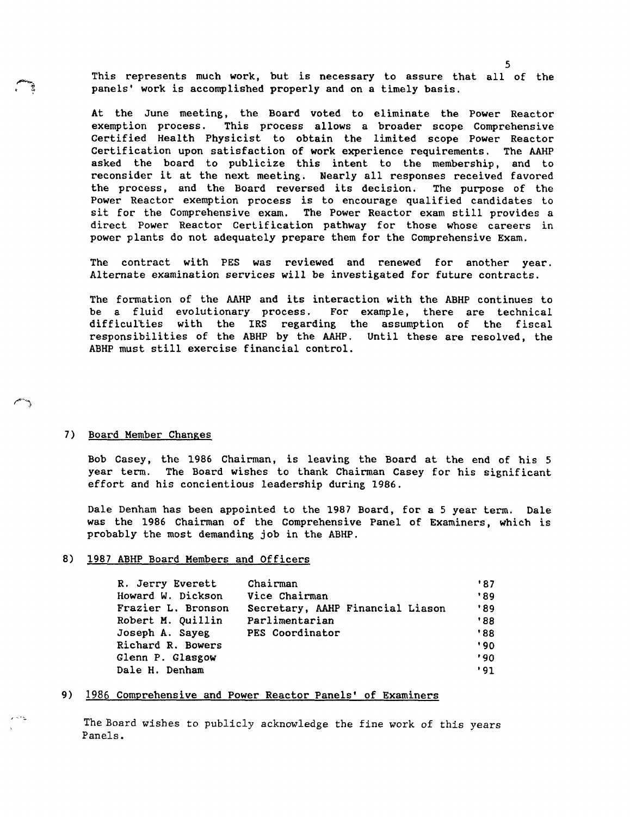This represents much work, but is necessary to assure that all of the panels' work is accomplished properly and on a timely basis.

At the June meeting, the Board voted to eliminate the Power Reactor exemption process. This process allows a broader scope Comprehensive Certified Health Physicist to obtain the limited scope Power Reactor Certification upon satisfaction of **work** experience requirements, The AAHP asked the board to publicize this intent to the membership, and to reconsider it at the next meeting. Nearly all responses received favored the process, and the Board reversed its decision. The purpose of the Power Reactor exemption process is to encourage qualified candidates lo sit for the Comprehensive exam. The Power Reactor exam still provides <sup>a</sup> direct Power Reactor Certification pathway for those whose careers in power plants do not adequately prepare them for the Comprehensive Exam.

The contract with PES was reviewed and renewed for another year. Alternate examination services will be investigated for future contracts.

The formation of the AAHP and its interaction with the ABHP continues to be a fluid evolutionary process. For example, there are technical difficul'ties with the IRS regarding the assumption of the fiscal responsibilities of the ABHP by the AAHP. Until these are resolved, the ABHP must still exercise financial control.

# 7) Board Member Changes

Bob Casey, the 1986 Chairman, is leaving the Board at the end of his 5 year term. The Board wishes to thank Chairman Casey for his significant effort and his concientious leadership during 1986.

Dale Denham has been appointed to the 1987 Board, for a 5 year term. Dale was the 1986 Chairman of the Comprehensive Panel of Examiners, which is probably the most demanding job in the ABHP.

#### 8) 1987 ABHP Board Members and Officers

| R. Jerry Everett   | Chairman                         | '87 |
|--------------------|----------------------------------|-----|
| Howard W. Dickson  | Vice Chairman                    | '89 |
| Frazier L. Bronson | Secretary, AAHP Financial Liason | '89 |
| Robert M. Quillin  | Parlimentarian                   | 88' |
| Joseph A. Sayeg    | PES Coordinator                  | '88 |
| Richard R. Bowers  |                                  | 190 |
| Glenn P. Glasgow   |                                  | '90 |
| Dale H. Denham     |                                  | 191 |

#### 9) 1986 Comprehensive and Power Reactor Panels' of Examiners

The Board wishes to publicly acknowledge the fine work of this years Panels.

5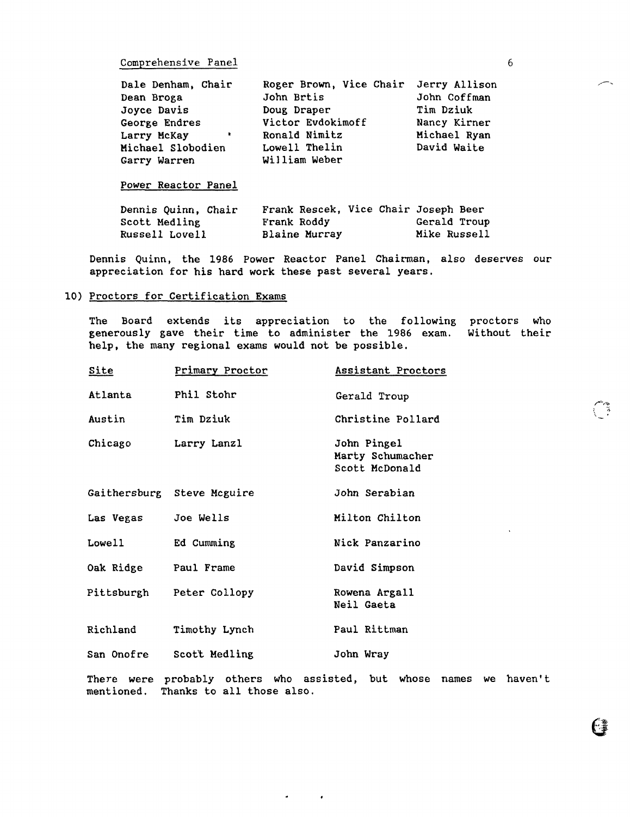Comprehensive Panel

| Dale Denham, Chair             | Roger Brown, Vice Chair Jerry Allison |              |
|--------------------------------|---------------------------------------|--------------|
| Dean Broga                     | John Brtis                            | John Coffman |
| Joyce Davis                    | Doug Draper                           | Tim Dziuk    |
| George Endres                  | Victor Evdokimoff                     | Nancy Kirner |
| Larry McKay<br><b>Contract</b> | Ronald Nimitz                         | Michael Ryan |
| Michael Slobodien              | Lowell Thelin                         | David Waite  |
| Garry Warren                   | William Weber                         |              |

# Power Reactor Panel

| Dennis Quinn, Chair | Frank Rescek, Vice Chair Joseph Beer |              |
|---------------------|--------------------------------------|--------------|
| Scott Medling       | Frank Roddy                          | Gerald Troup |
| Russell Lovell      | Blaine Murray                        | Mike Russell |

Dennis Quinn, the 1986 Power Reactor Panel Chairman, also deserves our appreciation for his hard work these past several years.

# 10) Proctors for Certification Exams

The Board extends its appreciation to the following proctors who generously gave their time to administer the 1986 exam. Without their help, the many regional exams would not be possible.

| <u>Site</u>          | <b>Primary Proctor</b>     | Assistant Proctors                                                  |
|----------------------|----------------------------|---------------------------------------------------------------------|
| Atlanta              | Phil Stohr                 | Gerald Troup                                                        |
| Austin               | Tim Dziuk                  | Christine Pollard                                                   |
| Chicago              | Larry Lanzl                | John Pingel<br>Marty Schumacher<br>Scott McDonald                   |
|                      | Gaithersburg Steve Mcguire | John Serabian                                                       |
| Las Vegas Joe Wells  |                            | Milton Chilton                                                      |
| Lowell               | Ed Cumming                 | Nick Panzarino                                                      |
| Oak Ridge Paul Frame |                            | David Simpson                                                       |
|                      | Pittsburgh Peter Collopy   | Rowena Argall<br>Neil Gaeta                                         |
| Richland             | Timothy Lynch              | Paul Rittman                                                        |
|                      | San Onofre Scott Medling   | John Wray                                                           |
| <b>mentioned.</b>    | Thanks to all those also.  | There were probably others who assisted, but whose names we haven't |

 $\sigma_{\rm{max}}=0.01$ 

 $\mathbf G$ 

ा भू<br>जु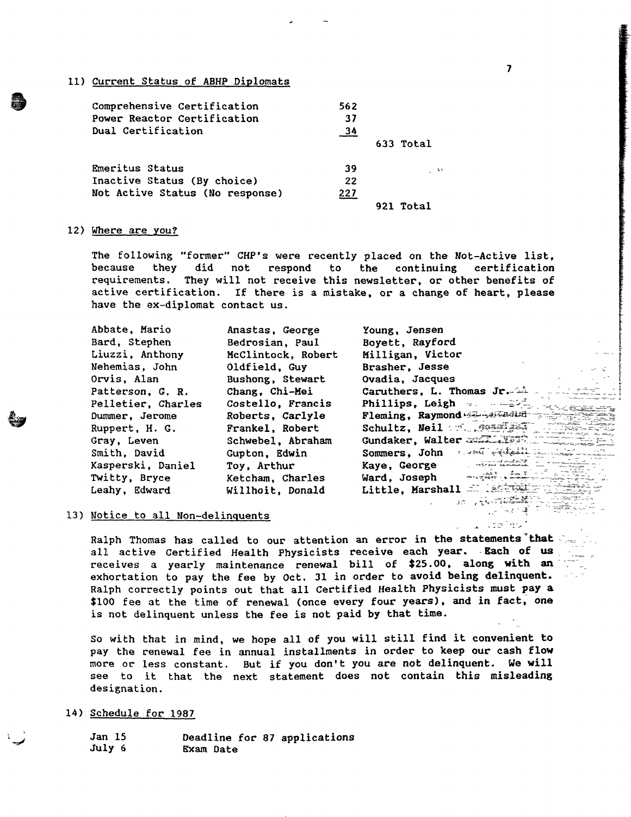# 11) Current Status of ABHP Diplomats

| Comprehensive Certification<br>Power Reactor Certification<br>Dual Certification | 562<br>37<br>34 |           |
|----------------------------------------------------------------------------------|-----------------|-----------|
|                                                                                  |                 | 633 Total |
| Emeritus Status                                                                  | 39              | $\sim$    |
| Inactive Status (By choice)                                                      | 22              |           |
| Not Active Status (No response)                                                  | <u> 227</u>     |           |
|                                                                                  |                 | Total     |

# 12) Where are you?

a

The following "former" CHP's were recently placed on the Not-Active list,<br>because they did not respond to the continuing certification because they did not respond to the continuing<br>requirements. They will not receive this newsletter, or othe They will not receive this newsletter, or other benefits of active certification. If there is a mistake, or a change of heart, please have the ex-diplomat contact us.

| Abbate, Mario      | Anastas, George    | Young, Jensen                                  |
|--------------------|--------------------|------------------------------------------------|
| Bard, Stephen      | Bedrosian, Paul    | Boyett, Rayford                                |
| Liuzzi, Anthony    | McClintock, Robert | Milligan, Victor                               |
| Nehemias, John     | Oldfield, Guy      | Brasher, Jesse                                 |
| Orvis, Alan        | Bushong, Stewart   | Ovadia, Jacques                                |
| Patterson, G. R.   | Chang, Chi-Mei     | Caruthers, L. Thomas Jr.                       |
| Pelletier, Charles | Costello, Francis  | Phillips, Leigh - $-1$                         |
| Dummer, Jerome     | Roberts, Carlyle   | Fleming, Raymond Franches                      |
| Ruppert, H. G.     | Frankel, Robert    | Schultz, Neil F. Rossiged                      |
| Gray, Leven        | Schwebel, Abraham  | Gundaker, Walter manufact                      |
| Smith, David       | Gupton, Edwin      | لِنُفْخِلُونِيْ لَلْمُعَادِرِ<br>Sommers, John |
| Kasperski, Daniel  | Toy, Arthur        | Kaye, George<br>ment a strait and production   |
| Twitty, Bryce      | Ketcham, Charles   | Ward, Joseph<br><b>Philip Secr</b>             |
| Leahy, Edward      | Willhoit, Donald   | Little, Marshall                               |
|                    |                    | التركم                                         |

# 13) Notice to all Non-delinquents

Ralph Thomas has called to our attention an error in the statements that all active Certified Health Physicists receive each year. - Each of us receives a yearly maintenance renewal bill of \$25.00, along with an exhortation to pay the fee by Oct. 31 in order to avoid being delinquent. Ralph correctly points out that all Certified Health Physicists must pay a \$100 fee at the time of renewal (once every four years), and in fact, one is not delinquent unless the fee is not paid by that time.

So with that in mind, we hope all of you will still find it convenient to pay the renewal fee in annual installments in order to keep our cash **flow**  more or less constant. But if you don't you are not delinquent. **We will**  see to it that the next statement does not contain this misleading designation.

14) Schedule for 1987

Jan 15 July 6 Deadline for 87 applications Exam Date

*1* 

utaliwu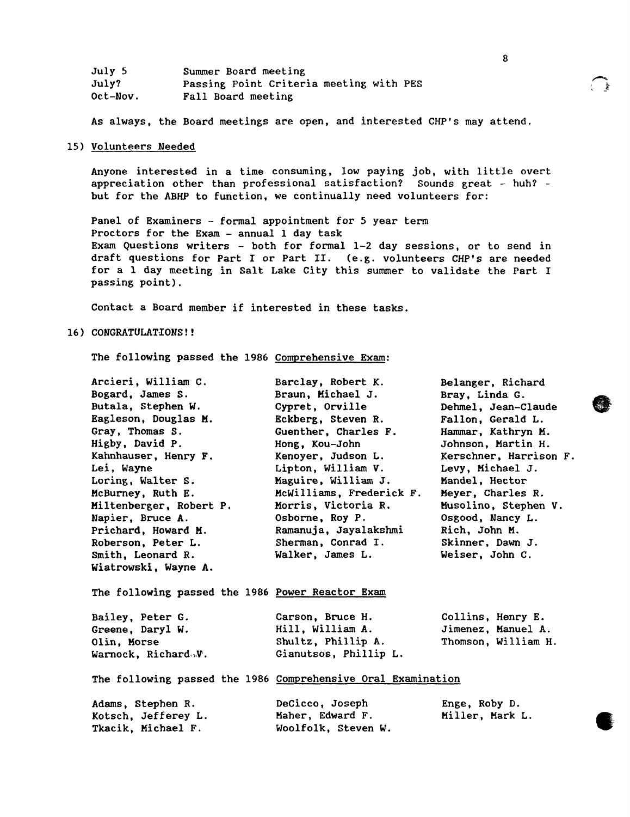| July 5   | Summer Board meeting                    |
|----------|-----------------------------------------|
| July?    | Passing Point Criteria meeting with PES |
| Oct-Nov. | Fall Board meeting                      |

As always, the Board meetings are open, and interested CHP's may attend.

# 15) Volunteers Needed

Anyone interested in a time consuming, low paying job, with little overt appreciation other than professional satisfaction? Sounds great - huh? but for the ABHP to function, we continually need volunteers for:

Panel of Examiners - formal appointment for 5 year term Proctors for the Exam - annual 1 day task Exam Questions writers - both for formal 1-2 day sessions, or to send in draft questions for Part I or Part II. (e.g. volunteers CHP's are needed for a 1 day meeting in Salt Lake City this summer to validate the Part I passing point).

Contact a Board member if interested in these tasks.

#### 16) **CONGRATULATIONS!!**

The following passed the 1986 Comprehensive Exam:

| Arcieri, William C.<br>Bogard, James S.<br>Butala, Stephen W.<br>Eagleson, Douglas M.<br>Gray, Thomas S.<br>Higby, David P.<br>Kahnhauser, Henry F.<br>Lei, Wayne<br>Loring, Walter S.<br>McBurney, Ruth E. | Barclay, Robert K.<br>Braun, Michael J.<br>Cypret, Orville<br>Eckberg, Steven R.<br>Guenther, Charles F.<br>Hong, Kou-John<br>Kenoyer, Judson L.<br>Lipton, William V.<br>Maguire, William J.<br>McWilliams, Frederick F. | Belanger, Richard<br>Bray, Linda G.<br>Dehmel, Jean-Claude<br>Fallon, Gerald L.<br>Hammar, Kathryn M.<br>Johnson, Martin H.<br>Kerschner, Harrison F.<br>Levy, Michael J.<br>Mandel, Hector<br>Meyer, Charles R. |
|-------------------------------------------------------------------------------------------------------------------------------------------------------------------------------------------------------------|---------------------------------------------------------------------------------------------------------------------------------------------------------------------------------------------------------------------------|------------------------------------------------------------------------------------------------------------------------------------------------------------------------------------------------------------------|
| Miltenberger, Robert P.<br>Napier, Bruce A.<br>Prichard, Howard M.<br>Roberson, Peter L.<br>Smith, Leonard R.<br>Wiatrowski, Wayne A.                                                                       | Morris, Victoria R.<br>Osborne, Roy P.<br>Ramanuja, Jayalakshmi<br>Sherman, Conrad I.<br>Walker, James L.                                                                                                                 | Musolino, Stephen V.<br>Osgood, Nancy L.<br>Rich, John M.<br>Skinner, Dawn J.<br>Weiser, John C.                                                                                                                 |
| The following passed the 1986 Power Reactor Exam                                                                                                                                                            |                                                                                                                                                                                                                           |                                                                                                                                                                                                                  |
| Bailey, Peter G.<br>Greene, Daryl W.<br>Olin, Morse<br>Warnock, Richard.W.                                                                                                                                  | Carson, Bruce H.<br>Hill, William A.<br>Shultz, Phillip A.<br>Gianutsos, Phillip L.                                                                                                                                       | Collins, Henry E.<br>Jimenez, Manuel A.<br>Thomson, William H.                                                                                                                                                   |
| The following passed the 1986 Comprehensive Oral Examination                                                                                                                                                |                                                                                                                                                                                                                           |                                                                                                                                                                                                                  |
| Adams, Stephen R.<br>Kotsch, Jefferey L.<br>Tkacik, Michael F.                                                                                                                                              | DeCicco, Joseph<br>Maher, Edward F.<br>Woolfolk, Steven W.                                                                                                                                                                | Enge, Roby D.<br>Miller, Mark L.                                                                                                                                                                                 |



့် နို့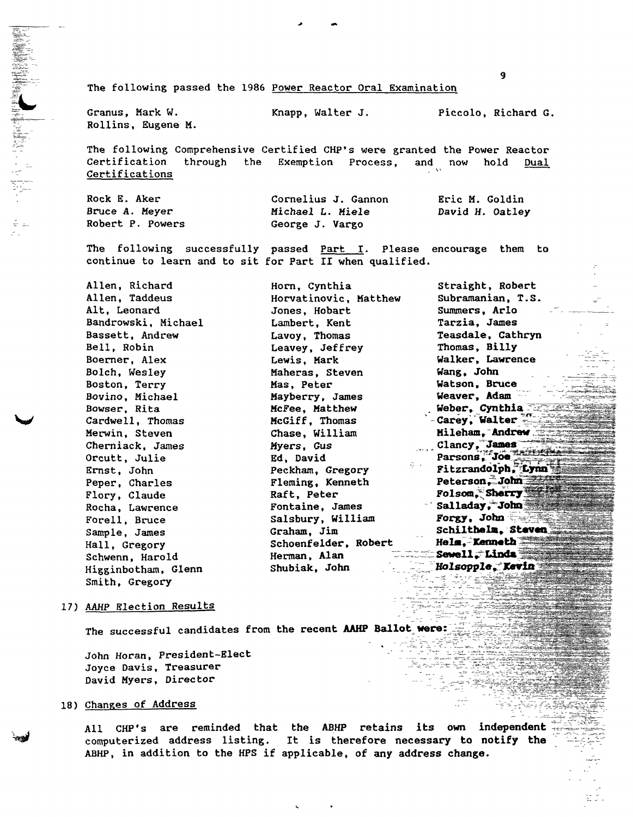The following passed the 1986 Power Reactor Oral Examination

Granus, Mark W. Rollins, Eugene M.

...

Knapp, Walter J. Piccolo, Richard G.

The following Comprehensive Certified CHP's were granted the Power Reactor Certification through the Exemption Process, and now hold Dual Certifications

Rock E. Aker Bruce A. Meyer Robert P. Powers Cornelius J. Gannon Michael L. Miele George J. Vargo Eric M. Goldin David *H.* Oatley

The following successfully passed Part I. Please encourage them to continue to learn and to sit for Part II when qualified.

| Allen, Richard      | Horn, Cynthia         | Straight, Robert                |
|---------------------|-----------------------|---------------------------------|
| Allen, Taddeus      | Horvatinovic, Matthew | Subramanian, T.S.               |
| Alt, Leonard        | Jones, Hobart         | Summers, Arlo                   |
| Bandrowski, Michael | Lambert, Kent         | Tarzia, James                   |
| Bassett, Andrew     | Lavoy, Thomas         | Teasdale, Cathryn               |
| Bell, Robin         | Leavey, Jeffrey       | Thomas, Billy                   |
| Boerner, Alex       | Lewis, Mark           | Walker, Lawrence                |
| Bolch, Wesley       | Maheras, Steven       | Wang, John                      |
| Boston, Terry       | Mas, Peter            | Watson, Bruce                   |
| Bovino, Michael     | Mayberry, James       | Weaver, Adam                    |
| Bowser, Rita        | McFee, Matthew        | Weber, Cynthia $\bar{z}$        |
| Cardwell, Thomas    | McGiff, Thomas        | -Carey, Walter                  |
| Merwin, Steven      | Chase, William        | Mileham, Andrew                 |
| Cherniack, James    | Myers, Gus            | Clancy, James<br>$\frac{1}{2}$  |
| Orcutt, Julie       | Ed, David             | Parsons, Joe                    |
| Ernst, John         | Peckham, Gregory      | 중 나는<br>Fitzrandolph, Lynn      |
| Peper, Charles      | Fleming, Kenneth      | Peterson, John                  |
| Flory, Claude       | Raft, Peter           | Folsom, Sherry                  |
| Rocha, Lawrence     | Fontaine, James       | Salladay, John                  |
| Forell, Bruce       | Salsbury, William     | Forgy, John                     |
| Sample, James       | Graham, Jim           | Schilthelm, Steven              |
| Hall, Gregory       | Schoenfelder, Robert  | Helm, Kenneth                   |
| Schwenn, Harold     | Herman, Alan          | <b>Example 2 Sewell : Linda</b> |
| Higginbotham, Glenn | Shubiak, John         | Holsopple. Kevin                |
| Smith, Gregory      |                       |                                 |

#### 17) AAHP Election Results

The successful candidates from the recent AAHP Ballot were:

John Horan, President-Elect Joyce Davis, Treasurer David Myers, Director

# 18) Changes of Address

All CHP's are reminded that the ABHP retains its own independent computerized address listing. It is therefore necessary to notify the ABHP, in addition to the HPS if applicable, of any address change.

9